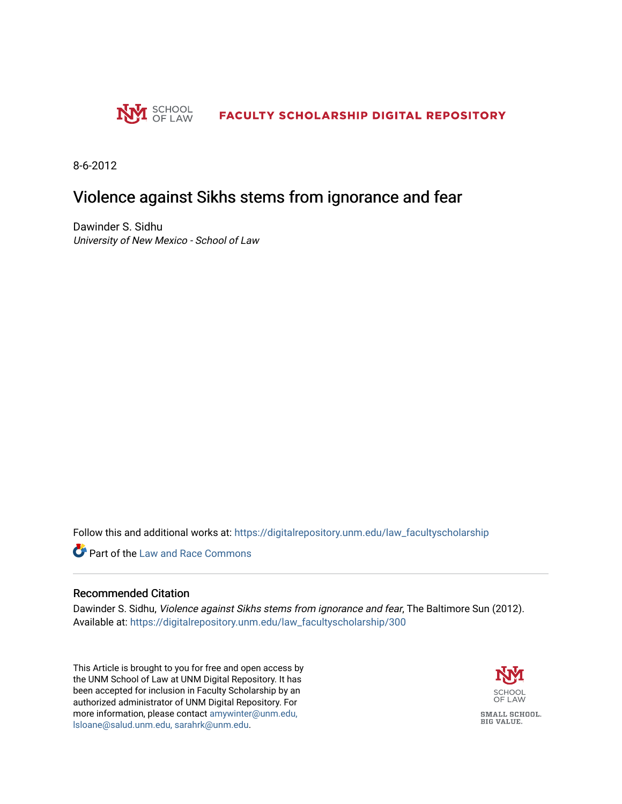

8-6-2012

## Violence against Sikhs stems from ignorance and fear

Dawinder S. Sidhu University of New Mexico - School of Law

Follow this and additional works at: [https://digitalrepository.unm.edu/law\\_facultyscholarship](https://digitalrepository.unm.edu/law_facultyscholarship?utm_source=digitalrepository.unm.edu%2Flaw_facultyscholarship%2F300&utm_medium=PDF&utm_campaign=PDFCoverPages) 

**C** Part of the Law and Race Commons

## Recommended Citation

Dawinder S. Sidhu, Violence against Sikhs stems from ignorance and fear, The Baltimore Sun (2012). Available at: [https://digitalrepository.unm.edu/law\\_facultyscholarship/300](https://digitalrepository.unm.edu/law_facultyscholarship/300?utm_source=digitalrepository.unm.edu%2Flaw_facultyscholarship%2F300&utm_medium=PDF&utm_campaign=PDFCoverPages) 

This Article is brought to you for free and open access by the UNM School of Law at UNM Digital Repository. It has been accepted for inclusion in Faculty Scholarship by an authorized administrator of UNM Digital Repository. For more information, please contact [amywinter@unm.edu,](mailto:amywinter@unm.edu,%20lsloane@salud.unm.edu,%20sarahrk@unm.edu)  [lsloane@salud.unm.edu, sarahrk@unm.edu.](mailto:amywinter@unm.edu,%20lsloane@salud.unm.edu,%20sarahrk@unm.edu)

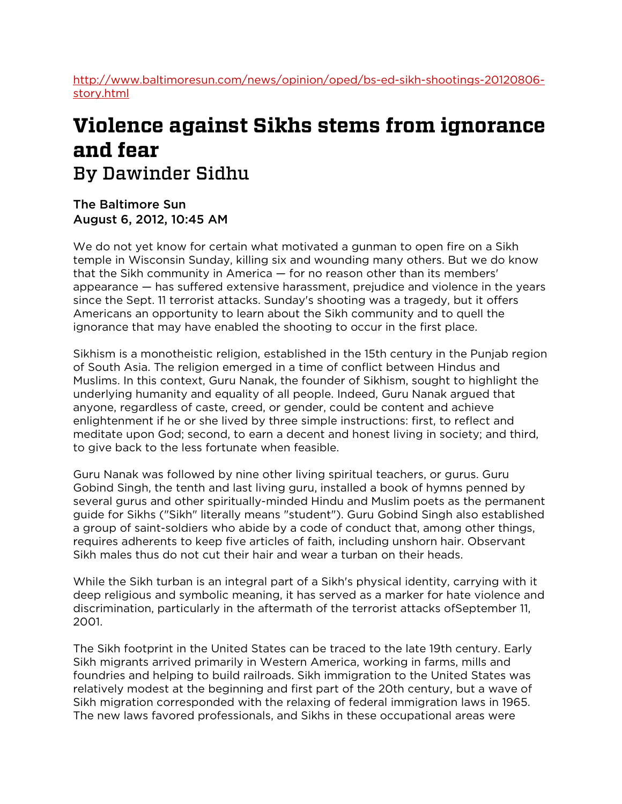[http://www.baltimoresun.com/news/opinion/oped/bs-ed-sikh-shootings-20120806](http://www.baltimoresun.com/news/opinion/oped/bs-ed-sikh-shootings-20120806-story.html) [story.html](http://www.baltimoresun.com/news/opinion/oped/bs-ed-sikh-shootings-20120806-story.html)

## **Violence against Sikhs stems from ignorance and fear** By Dawinder Sidhu

The Baltimore Sun August 6, 2012, 10:45 AM

We do not yet know for certain what motivated a gunman to open fire on a Sikh temple in Wisconsin Sunday, killing six and wounding many others. But we do know that the Sikh community in America — for no reason other than its members' appearance — has suffered extensive harassment, prejudice and violence in the years since the Sept. 11 terrorist attacks. Sunday's shooting was a tragedy, but it offers Americans an opportunity to learn about the Sikh community and to quell the ignorance that may have enabled the shooting to occur in the first place.

Sikhism is a monotheistic religion, established in the 15th century in the Punjab region of South Asia. The religion emerged in a time of conflict between Hindus and Muslims. In this context, Guru Nanak, the founder of Sikhism, sought to highlight the underlying humanity and equality of all people. Indeed, Guru Nanak argued that anyone, regardless of caste, creed, or gender, could be content and achieve enlightenment if he or she lived by three simple instructions: first, to reflect and meditate upon God; second, to earn a decent and honest living in society; and third, to give back to the less fortunate when feasible.

Guru Nanak was followed by nine other living spiritual teachers, or gurus. Guru Gobind Singh, the tenth and last living guru, installed a book of hymns penned by several gurus and other spiritually-minded Hindu and Muslim poets as the permanent guide for Sikhs ("Sikh" literally means "student"). Guru Gobind Singh also established a group of saint-soldiers who abide by a code of conduct that, among other things, requires adherents to keep five articles of faith, including unshorn hair. Observant Sikh males thus do not cut their hair and wear a turban on their heads.

While the Sikh turban is an integral part of a Sikh's physical identity, carrying with it deep religious and symbolic meaning, it has served as a marker for hate violence and discrimination, particularly in the aftermath of the terrorist attacks ofSeptember 11, 2001.

The Sikh footprint in the United States can be traced to the late 19th century. Early Sikh migrants arrived primarily in Western America, working in farms, mills and foundries and helping to build railroads. Sikh immigration to the United States was relatively modest at the beginning and first part of the 20th century, but a wave of Sikh migration corresponded with the relaxing of federal immigration laws in 1965. The new laws favored professionals, and Sikhs in these occupational areas were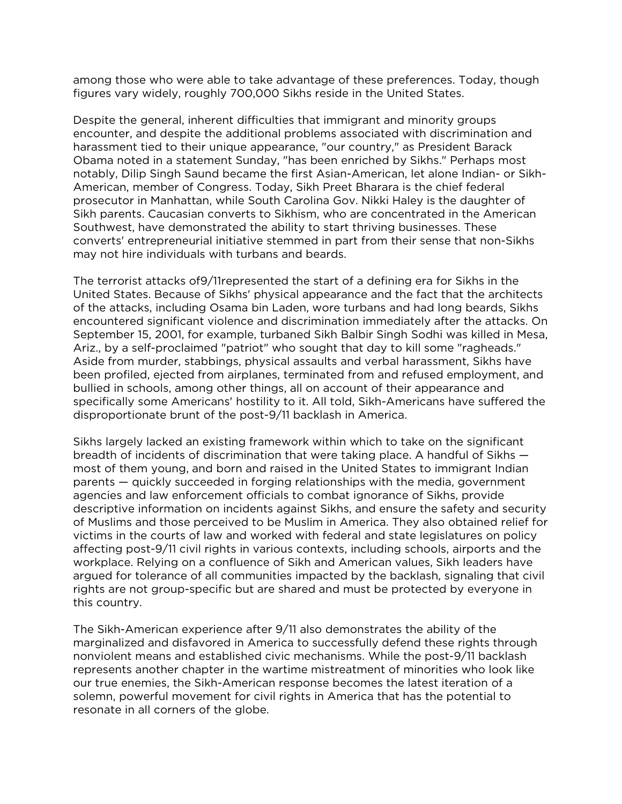among those who were able to take advantage of these preferences. Today, though figures vary widely, roughly 700,000 Sikhs reside in the United States.

Despite the general, inherent difficulties that immigrant and minority groups encounter, and despite the additional problems associated with discrimination and harassment tied to their unique appearance, "our country," as President Barack Obama noted in a statement Sunday, "has been enriched by Sikhs." Perhaps most notably, Dilip Singh Saund became the first Asian-American, let alone Indian- or Sikh-American, member of Congress. Today, Sikh Preet Bharara is the chief federal prosecutor in Manhattan, while South Carolina Gov. Nikki Haley is the daughter of Sikh parents. Caucasian converts to Sikhism, who are concentrated in the American Southwest, have demonstrated the ability to start thriving businesses. These converts' entrepreneurial initiative stemmed in part from their sense that non-Sikhs may not hire individuals with turbans and beards.

The terrorist attacks of9/11represented the start of a defining era for Sikhs in the United States. Because of Sikhs' physical appearance and the fact that the architects of the attacks, including Osama bin Laden, wore turbans and had long beards, Sikhs encountered significant violence and discrimination immediately after the attacks. On September 15, 2001, for example, turbaned Sikh Balbir Singh Sodhi was killed in Mesa, Ariz., by a self-proclaimed "patriot" who sought that day to kill some "ragheads." Aside from murder, stabbings, physical assaults and verbal harassment, Sikhs have been profiled, ejected from airplanes, terminated from and refused employment, and bullied in schools, among other things, all on account of their appearance and specifically some Americans' hostility to it. All told, Sikh-Americans have suffered the disproportionate brunt of the post-9/11 backlash in America.

Sikhs largely lacked an existing framework within which to take on the significant breadth of incidents of discrimination that were taking place. A handful of Sikhs most of them young, and born and raised in the United States to immigrant Indian parents — quickly succeeded in forging relationships with the media, government agencies and law enforcement officials to combat ignorance of Sikhs, provide descriptive information on incidents against Sikhs, and ensure the safety and security of Muslims and those perceived to be Muslim in America. They also obtained relief for victims in the courts of law and worked with federal and state legislatures on policy affecting post-9/11 civil rights in various contexts, including schools, airports and the workplace. Relying on a confluence of Sikh and American values, Sikh leaders have argued for tolerance of all communities impacted by the backlash, signaling that civil rights are not group-specific but are shared and must be protected by everyone in this country.

The Sikh-American experience after 9/11 also demonstrates the ability of the marginalized and disfavored in America to successfully defend these rights through nonviolent means and established civic mechanisms. While the post-9/11 backlash represents another chapter in the wartime mistreatment of minorities who look like our true enemies, the Sikh-American response becomes the latest iteration of a solemn, powerful movement for civil rights in America that has the potential to resonate in all corners of the globe.